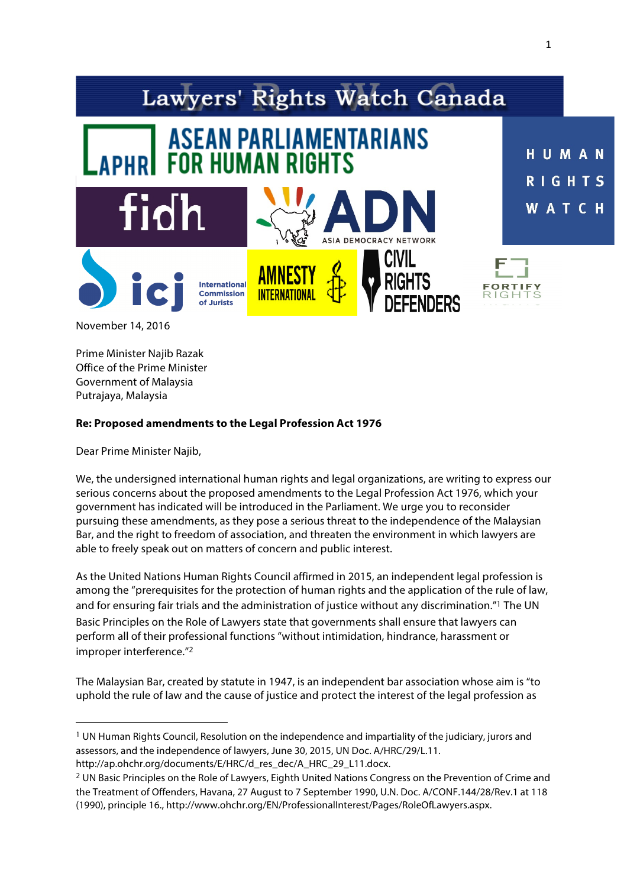

1

Prime Minister Najib Razak Office of the Prime Minister Government of Malaysia Putrajaya, Malaysia

### **Re: Proposed amendments to the Legal Profession Act 1976**

Dear Prime Minister Najib,

<u> 1989 - Jan Samuel Barbara, margaret e</u>

We, the undersigned international human rights and legal organizations, are writing to express our serious concerns about the proposed amendments to the Legal Profession Act 1976, which your government has indicated will be introduced in the Parliament. We urge you to reconsider pursuing these amendments, as they pose a serious threat to the independence of the Malaysian Bar, and the right to freedom of association, and threaten the environment in which lawyers are able to freely speak out on matters of concern and public interest.

As the United Nations Human Rights Council affirmed in 2015, an independent legal profession is among the "prerequisites for the protection of human rights and the application of the rule of law, and for ensuring fair trials and the administration of justice without any discrimination."<sup>1</sup> The UN Basic Principles on the Role of Lawyers state that governments shall ensure that lawyers can perform all of their professional functions "without intimidation, hindrance, harassment or improper interference."<sup>2</sup>

The Malaysian Bar, created by statute in 1947, is an independent bar association whose aim is "to uphold the rule of law and the cause of justice and protect the interest of the legal profession as

<sup>1</sup> UN Human Rights Council, Resolution on the independence and impartiality of the judiciary, jurors and assessors, and the independence of lawyers, June 30, 2015, UN Doc. A/HRC/29/L.11. http://ap.ohchr.org/documents/E/HRC/d\_res\_dec/A\_HRC\_29\_L11.docx.

<sup>2</sup> UN Basic Principles on the Role of Lawyers, Eighth United Nations Congress on the Prevention of Crime and the Treatment of Offenders, Havana, 27 August to 7 September 1990, U.N. Doc. A/CONF.144/28/Rev.1 at 118 (1990), principle 16., http://www.ohchr.org/EN/ProfessionalInterest/Pages/RoleOfLawyers.aspx.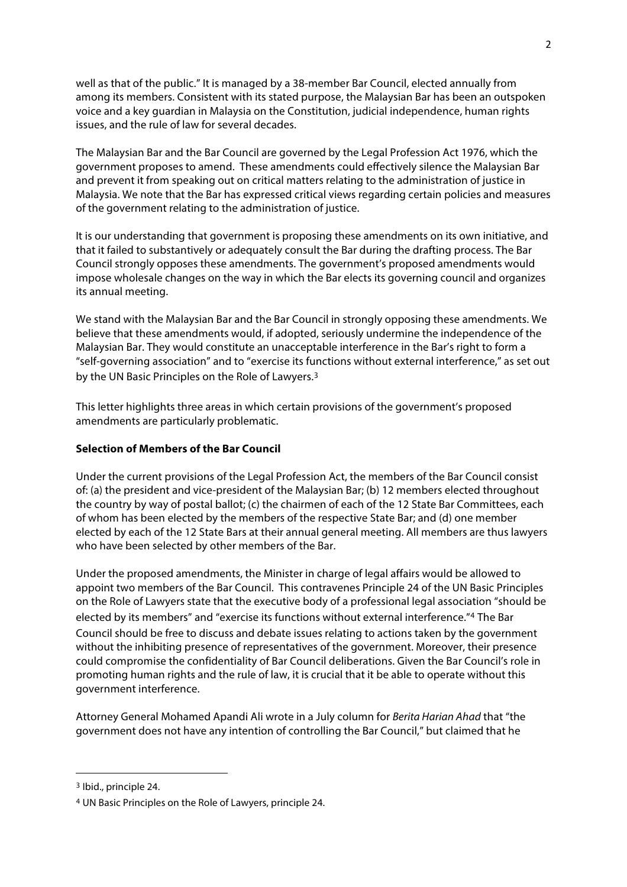well as that of the public." It is managed by a 38-member Bar Council, elected annually from among its members. Consistent with its stated purpose, the Malaysian Bar has been an outspoken voice and a key guardian in Malaysia on the Constitution, judicial independence, human rights issues, and the rule of law for several decades.

The Malaysian Bar and the Bar Council are governed by the Legal Profession Act 1976, which the government proposes to amend. These amendments could effectively silence the Malaysian Bar and prevent it from speaking out on critical matters relating to the administration of justice in Malaysia. We note that the Bar has expressed critical views regarding certain policies and measures of the government relating to the administration of justice.

It is our understanding that government is proposing these amendments on its own initiative, and that it failed to substantively or adequately consult the Bar during the drafting process. The Bar Council strongly opposes these amendments. The government's proposed amendments would impose wholesale changes on the way in which the Bar elects its governing council and organizes its annual meeting.

We stand with the Malaysian Bar and the Bar Council in strongly opposing these amendments. We believe that these amendments would, if adopted, seriously undermine the independence of the Malaysian Bar. They would constitute an unacceptable interference in the Bar's right to form a "self-governing association" and to "exercise its functions without external interference," as set out by the UN Basic Principles on the Role of Lawyers.<sup>3</sup>

This letter highlights three areas in which certain provisions of the government's proposed amendments are particularly problematic.

# **Selection of Members of the Bar Council**

Under the current provisions of the Legal Profession Act, the members of the Bar Council consist of: (a) the president and vice-president of the Malaysian Bar; (b) 12 members elected throughout the country by way of postal ballot; (c) the chairmen of each of the 12 State Bar Committees, each of whom has been elected by the members of the respective State Bar; and (d) one member elected by each of the 12 State Bars at their annual general meeting. All members are thus lawyers who have been selected by other members of the Bar.

Under the proposed amendments, the Minister in charge of legal affairs would be allowed to appoint two members of the Bar Council. This contravenes Principle 24 of the UN Basic Principles on the Role of Lawyers state that the executive body of a professional legal association "should be elected by its members" and "exercise its functions without external interference."<sup>4</sup> The Bar Council should be free to discuss and debate issues relating to actions taken by the government without the inhibiting presence of representatives of the government. Moreover, their presence could compromise the confidentiality of Bar Council deliberations. Given the Bar Council's role in promoting human rights and the rule of law, it is crucial that it be able to operate without this government interference.

Attorney General Mohamed Apandi Ali wrote in a July column for *Berita Harian Ahad* that "the government does not have any intention of controlling the Bar Council," but claimed that he

 

<sup>3</sup> Ibid., principle 24.

<sup>4</sup> UN Basic Principles on the Role of Lawyers, principle 24.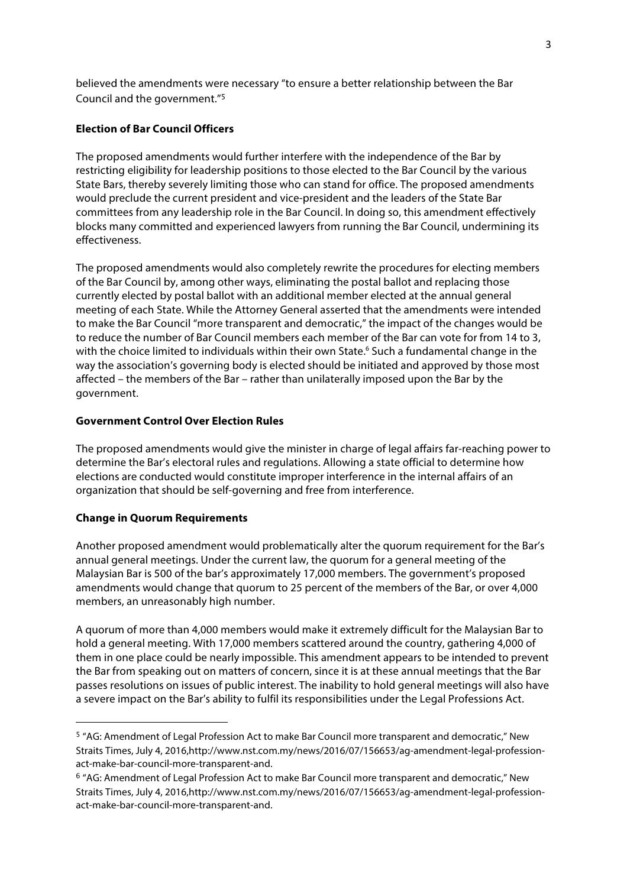believed the amendments were necessary "to ensure a better relationship between the Bar Council and the government."<sup>5</sup>

## **Election of Bar Council Officers**

The proposed amendments would further interfere with the independence of the Bar by restricting eligibility for leadership positions to those elected to the Bar Council by the various State Bars, thereby severely limiting those who can stand for office. The proposed amendments would preclude the current president and vice-president and the leaders of the State Bar committees from any leadership role in the Bar Council. In doing so, this amendment effectively blocks many committed and experienced lawyers from running the Bar Council, undermining its effectiveness.

The proposed amendments would also completely rewrite the procedures for electing members of the Bar Council by, among other ways, eliminating the postal ballot and replacing those currently elected by postal ballot with an additional member elected at the annual general meeting of each State. While the Attorney General asserted that the amendments were intended to make the Bar Council "more transparent and democratic," the impact of the changes would be to reduce the number of Bar Council members each member of the Bar can vote for from 14 to 3, with the choice limited to individuals within their own State.<sup>6</sup> Such a fundamental change in the way the association's governing body is elected should be initiated and approved by those most affected – the members of the Bar – rather than unilaterally imposed upon the Bar by the government.

### **Government Control Over Election Rules**

The proposed amendments would give the minister in charge of legal affairs far-reaching power to determine the Bar's electoral rules and regulations. Allowing a state official to determine how elections are conducted would constitute improper interference in the internal affairs of an organization that should be self-governing and free from interference.

### **Change in Quorum Requirements**

<u> 1989 - Jan Samuel Barbara, margaret e</u>

Another proposed amendment would problematically alter the quorum requirement for the Bar's annual general meetings. Under the current law, the quorum for a general meeting of the Malaysian Bar is 500 of the bar's approximately 17,000 members. The government's proposed amendments would change that quorum to 25 percent of the members of the Bar, or over 4,000 members, an unreasonably high number.

A quorum of more than 4,000 members would make it extremely difficult for the Malaysian Bar to hold a general meeting. With 17,000 members scattered around the country, gathering 4,000 of them in one place could be nearly impossible. This amendment appears to be intended to prevent the Bar from speaking out on matters of concern, since it is at these annual meetings that the Bar passes resolutions on issues of public interest. The inability to hold general meetings will also have a severe impact on the Bar's ability to fulfil its responsibilities under the Legal Professions Act.

<sup>5</sup> "AG: Amendment of Legal Profession Act to make Bar Council more transparent and democratic," New Straits Times, July 4, 2016,http://www.nst.com.my/news/2016/07/156653/ag-amendment-legal-professionact-make-bar-council-more-transparent-and.

<sup>6</sup> "AG: Amendment of Legal Profession Act to make Bar Council more transparent and democratic," New Straits Times, July 4, 2016,http://www.nst.com.my/news/2016/07/156653/ag-amendment-legal-professionact-make-bar-council-more-transparent-and.